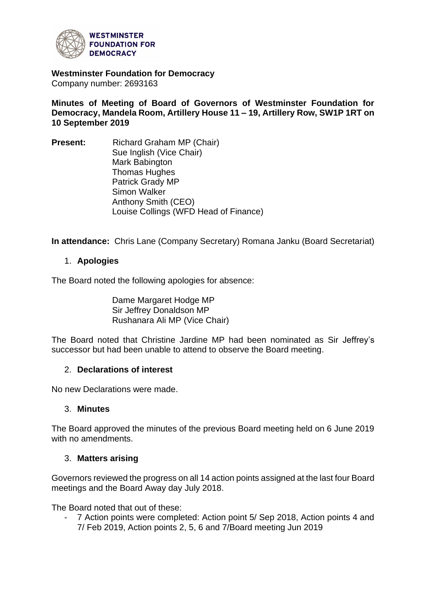

**Westminster Foundation for Democracy** Company number: 2693163

**Minutes of Meeting of Board of Governors of Westminster Foundation for Democracy, Mandela Room, Artillery House 11 – 19, Artillery Row, SW1P 1RT on 10 September 2019**

**Present:** Richard Graham MP (Chair) Sue Inglish (Vice Chair) Mark Babington Thomas Hughes Patrick Grady MP Simon Walker Anthony Smith (CEO) Louise Collings (WFD Head of Finance)

**In attendance:** Chris Lane (Company Secretary) Romana Janku (Board Secretariat)

### 1. **Apologies**

The Board noted the following apologies for absence:

Dame Margaret Hodge MP Sir Jeffrey Donaldson MP Rushanara Ali MP (Vice Chair)

The Board noted that Christine Jardine MP had been nominated as Sir Jeffrey's successor but had been unable to attend to observe the Board meeting.

### 2. **Declarations of interest**

No new Declarations were made.

### 3. **Minutes**

The Board approved the minutes of the previous Board meeting held on 6 June 2019 with no amendments.

### 3. **Matters arising**

Governors reviewed the progress on all 14 action points assigned at the last four Board meetings and the Board Away day July 2018.

The Board noted that out of these:

7 Action points were completed: Action point 5/ Sep 2018, Action points 4 and 7/ Feb 2019, Action points 2, 5, 6 and 7/Board meeting Jun 2019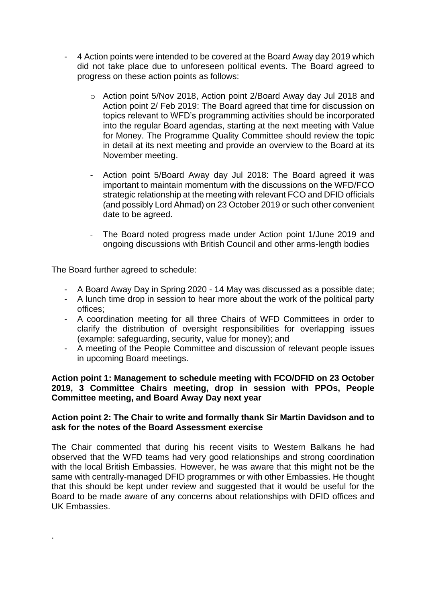- 4 Action points were intended to be covered at the Board Away day 2019 which did not take place due to unforeseen political events. The Board agreed to progress on these action points as follows:
	- o Action point 5/Nov 2018, Action point 2/Board Away day Jul 2018 and Action point 2/ Feb 2019: The Board agreed that time for discussion on topics relevant to WFD's programming activities should be incorporated into the regular Board agendas, starting at the next meeting with Value for Money. The Programme Quality Committee should review the topic in detail at its next meeting and provide an overview to the Board at its November meeting.
	- Action point 5/Board Away day Jul 2018: The Board agreed it was important to maintain momentum with the discussions on the WFD/FCO strategic relationship at the meeting with relevant FCO and DFID officials (and possibly Lord Ahmad) on 23 October 2019 or such other convenient date to be agreed.
	- The Board noted progress made under Action point 1/June 2019 and ongoing discussions with British Council and other arms-length bodies

The Board further agreed to schedule:

.

- A Board Away Day in Spring 2020 14 May was discussed as a possible date;
- A lunch time drop in session to hear more about the work of the political party offices;
- A coordination meeting for all three Chairs of WFD Committees in order to clarify the distribution of oversight responsibilities for overlapping issues (example: safeguarding, security, value for money); and
- A meeting of the People Committee and discussion of relevant people issues in upcoming Board meetings.

### **Action point 1: Management to schedule meeting with FCO/DFID on 23 October 2019, 3 Committee Chairs meeting, drop in session with PPOs, People Committee meeting, and Board Away Day next year**

### **Action point 2: The Chair to write and formally thank Sir Martin Davidson and to ask for the notes of the Board Assessment exercise**

The Chair commented that during his recent visits to Western Balkans he had observed that the WFD teams had very good relationships and strong coordination with the local British Embassies. However, he was aware that this might not be the same with centrally-managed DFID programmes or with other Embassies. He thought that this should be kept under review and suggested that it would be useful for the Board to be made aware of any concerns about relationships with DFID offices and UK Embassies.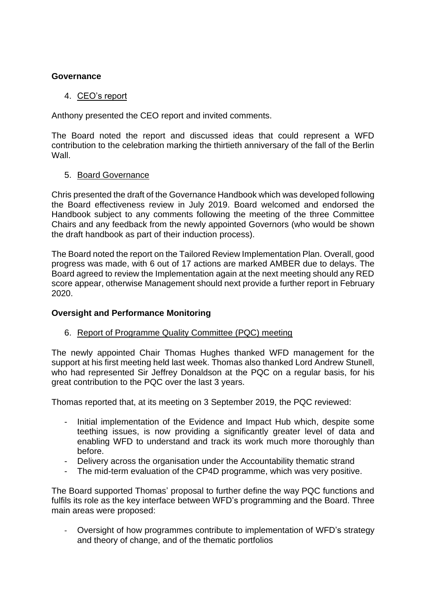### **Governance**

# 4. CEO's report

Anthony presented the CEO report and invited comments.

The Board noted the report and discussed ideas that could represent a WFD contribution to the celebration marking the thirtieth anniversary of the fall of the Berlin Wall.

# 5. Board Governance

Chris presented the draft of the Governance Handbook which was developed following the Board effectiveness review in July 2019. Board welcomed and endorsed the Handbook subject to any comments following the meeting of the three Committee Chairs and any feedback from the newly appointed Governors (who would be shown the draft handbook as part of their induction process).

The Board noted the report on the Tailored Review Implementation Plan. Overall, good progress was made, with 6 out of 17 actions are marked AMBER due to delays. The Board agreed to review the Implementation again at the next meeting should any RED score appear, otherwise Management should next provide a further report in February 2020.

# **Oversight and Performance Monitoring**

### 6. Report of Programme Quality Committee (PQC) meeting

The newly appointed Chair Thomas Hughes thanked WFD management for the support at his first meeting held last week. Thomas also thanked Lord Andrew Stunell, who had represented Sir Jeffrey Donaldson at the PQC on a regular basis, for his great contribution to the PQC over the last 3 years.

Thomas reported that, at its meeting on 3 September 2019, the PQC reviewed:

- Initial implementation of the Evidence and Impact Hub which, despite some teething issues, is now providing a significantly greater level of data and enabling WFD to understand and track its work much more thoroughly than before.
- Delivery across the organisation under the Accountability thematic strand
- The mid-term evaluation of the CP4D programme, which was very positive.

The Board supported Thomas' proposal to further define the way PQC functions and fulfils its role as the key interface between WFD's programming and the Board. Three main areas were proposed:

- Oversight of how programmes contribute to implementation of WFD's strategy and theory of change, and of the thematic portfolios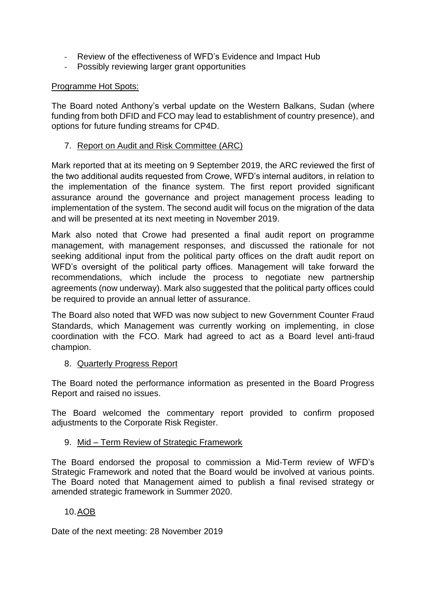- Review of the effectiveness of WFD's Evidence and Impact Hub
- Possibly reviewing larger grant opportunities

# Programme Hot Spots:

The Board noted Anthony's verbal update on the Western Balkans, Sudan (where funding from both DFID and FCO may lead to establishment of country presence), and options for future funding streams for CP4D.

# 7. Report on Audit and Risk Committee (ARC)

Mark reported that at its meeting on 9 September 2019, the ARC reviewed the first of the two additional audits requested from Crowe, WFD's internal auditors, in relation to the implementation of the finance system. The first report provided significant assurance around the governance and project management process leading to implementation of the system. The second audit will focus on the migration of the data and will be presented at its next meeting in November 2019.

Mark also noted that Crowe had presented a final audit report on programme management, with management responses, and discussed the rationale for not seeking additional input from the political party offices on the draft audit report on WFD's oversight of the political party offices. Management will take forward the recommendations, which include the process to negotiate new partnership agreements (now underway). Mark also suggested that the political party offices could be required to provide an annual letter of assurance.

The Board also noted that WFD was now subject to new Government Counter Fraud Standards, which Management was currently working on implementing, in close coordination with the FCO. Mark had agreed to act as a Board level anti-fraud champion.

### 8. Quarterly Progress Report

The Board noted the performance information as presented in the Board Progress Report and raised no issues.

The Board welcomed the commentary report provided to confirm proposed adjustments to the Corporate Risk Register.

### 9. Mid – Term Review of Strategic Framework

The Board endorsed the proposal to commission a Mid-Term review of WFD's Strategic Framework and noted that the Board would be involved at various points. The Board noted that Management aimed to publish a final revised strategy or amended strategic framework in Summer 2020.

# 10.AOB

Date of the next meeting: 28 November 2019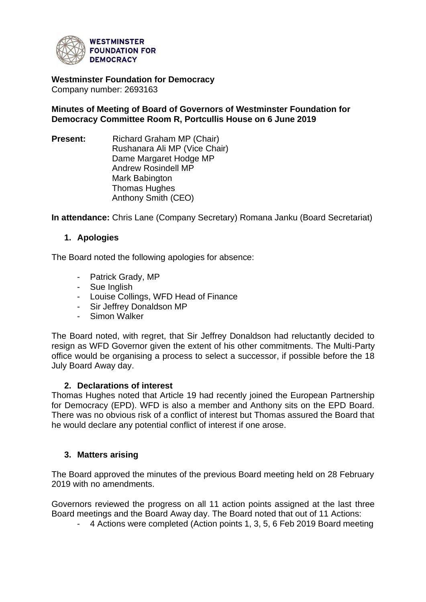

**Westminster Foundation for Democracy** Company number: 2693163

**Minutes of Meeting of Board of Governors of Westminster Foundation for Democracy Committee Room R, Portcullis House on 6 June 2019**

**Present:** Richard Graham MP (Chair) Rushanara Ali MP (Vice Chair) Dame Margaret Hodge MP Andrew Rosindell MP Mark Babington Thomas Hughes Anthony Smith (CEO)

**In attendance:** Chris Lane (Company Secretary) Romana Janku (Board Secretariat)

# **1. Apologies**

The Board noted the following apologies for absence:

- Patrick Grady, MP
- Sue Inglish
- Louise Collings, WFD Head of Finance
- Sir Jeffrey Donaldson MP
- Simon Walker

The Board noted, with regret, that Sir Jeffrey Donaldson had reluctantly decided to resign as WFD Governor given the extent of his other commitments. The Multi-Party office would be organising a process to select a successor, if possible before the 18 July Board Away day.

### **2. Declarations of interest**

Thomas Hughes noted that Article 19 had recently joined the European Partnership for Democracy (EPD). WFD is also a member and Anthony sits on the EPD Board. There was no obvious risk of a conflict of interest but Thomas assured the Board that he would declare any potential conflict of interest if one arose.

### **3. Matters arising**

The Board approved the minutes of the previous Board meeting held on 28 February 2019 with no amendments.

Governors reviewed the progress on all 11 action points assigned at the last three Board meetings and the Board Away day. The Board noted that out of 11 Actions:

- 4 Actions were completed (Action points 1, 3, 5, 6 Feb 2019 Board meeting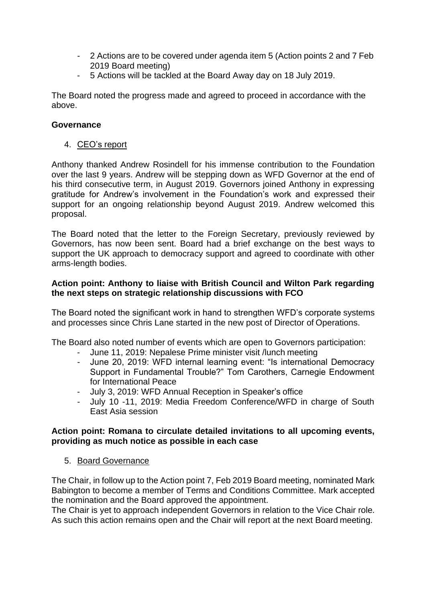- 2 Actions are to be covered under agenda item 5 (Action points 2 and 7 Feb 2019 Board meeting)
- 5 Actions will be tackled at the Board Away day on 18 July 2019.

The Board noted the progress made and agreed to proceed in accordance with the above.

### **Governance**

4. CEO's report

Anthony thanked Andrew Rosindell for his immense contribution to the Foundation over the last 9 years. Andrew will be stepping down as WFD Governor at the end of his third consecutive term, in August 2019. Governors joined Anthony in expressing gratitude for Andrew's involvement in the Foundation's work and expressed their support for an ongoing relationship beyond August 2019. Andrew welcomed this proposal.

The Board noted that the letter to the Foreign Secretary, previously reviewed by Governors, has now been sent. Board had a brief exchange on the best ways to support the UK approach to democracy support and agreed to coordinate with other arms-length bodies.

### **Action point: Anthony to liaise with British Council and Wilton Park regarding the next steps on strategic relationship discussions with FCO**

The Board noted the significant work in hand to strengthen WFD's corporate systems and processes since Chris Lane started in the new post of Director of Operations.

The Board also noted number of events which are open to Governors participation:

- June 11, 2019: Nepalese Prime minister visit /lunch meeting
- June 20, 2019: WFD internal learning event: "Is international Democracy Support in Fundamental Trouble?" Tom Carothers, Carnegie Endowment for International Peace
- July 3, 2019: WFD Annual Reception in Speaker's office
- July 10 -11, 2019: Media Freedom Conference/WFD in charge of South East Asia session

### **Action point: Romana to circulate detailed invitations to all upcoming events, providing as much notice as possible in each case**

5. Board Governance

The Chair, in follow up to the Action point 7, Feb 2019 Board meeting, nominated Mark Babington to become a member of Terms and Conditions Committee. Mark accepted the nomination and the Board approved the appointment.

The Chair is yet to approach independent Governors in relation to the Vice Chair role. As such this action remains open and the Chair will report at the next Board meeting.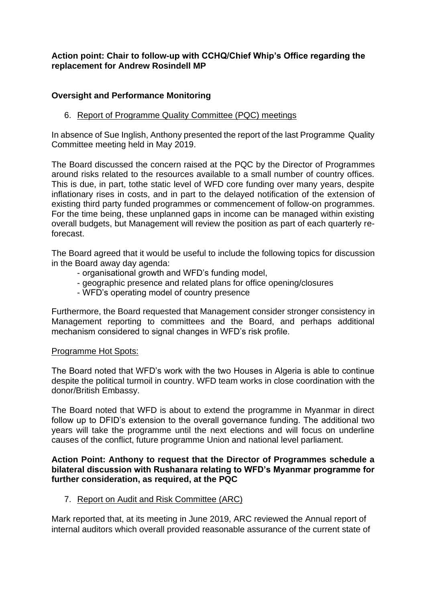# **Action point: Chair to follow-up with CCHQ/Chief Whip's Office regarding the replacement for Andrew Rosindell MP**

# **Oversight and Performance Monitoring**

6. Report of Programme Quality Committee (PQC) meetings

In absence of Sue Inglish, Anthony presented the report of the last Programme Quality Committee meeting held in May 2019.

The Board discussed the concern raised at the PQC by the Director of Programmes around risks related to the resources available to a small number of country offices. This is due, in part, tothe static level of WFD core funding over many years, despite inflationary rises in costs, and in part to the delayed notification of the extension of existing third party funded programmes or commencement of follow-on programmes. For the time being, these unplanned gaps in income can be managed within existing overall budgets, but Management will review the position as part of each quarterly reforecast.

The Board agreed that it would be useful to include the following topics for discussion in the Board away day agenda:

- organisational growth and WFD's funding model,
- geographic presence and related plans for office opening/closures
- WFD's operating model of country presence

Furthermore, the Board requested that Management consider stronger consistency in Management reporting to committees and the Board, and perhaps additional mechanism considered to signal changes in WFD's risk profile.

### Programme Hot Spots:

The Board noted that WFD's work with the two Houses in Algeria is able to continue despite the political turmoil in country. WFD team works in close coordination with the donor/British Embassy.

The Board noted that WFD is about to extend the programme in Myanmar in direct follow up to DFID's extension to the overall governance funding. The additional two years will take the programme until the next elections and will focus on underline causes of the conflict, future programme Union and national level parliament.

#### **Action Point: Anthony to request that the Director of Programmes schedule a bilateral discussion with Rushanara relating to WFD's Myanmar programme for further consideration, as required, at the PQC**

7. Report on Audit and Risk Committee (ARC)

Mark reported that, at its meeting in June 2019, ARC reviewed the Annual report of internal auditors which overall provided reasonable assurance of the current state of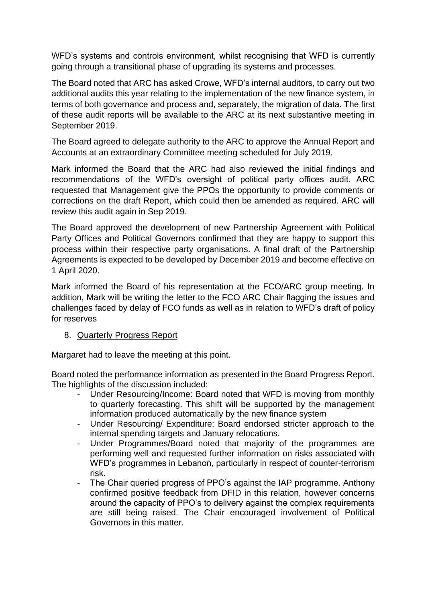WFD's systems and controls environment, whilst recognising that WFD is currently going through a transitional phase of upgrading its systems and processes.

The Board noted that ARC has asked Crowe, WFD's internal auditors, to carry out two additional audits this year relating to the implementation of the new finance system, in terms of both governance and process and, separately, the migration of data. The first of these audit reports will be available to the ARC at its next substantive meeting in September 2019.

The Board agreed to delegate authority to the ARC to approve the Annual Report and Accounts at an extraordinary Committee meeting scheduled for July 2019.

Mark informed the Board that the ARC had also reviewed the initial findings and recommendations of the WFD's oversight of political party offices audit. ARC requested that Management give the PPOs the opportunity to provide comments or corrections on the draft Report, which could then be amended as required. ARC will review this audit again in Sep 2019.

The Board approved the development of new Partnership Agreement with Political Party Offices and Political Governors confirmed that they are happy to support this process within their respective party organisations. A final draft of the Partnership Agreements is expected to be developed by December 2019 and become effective on 1 April 2020.

Mark informed the Board of his representation at the FCO/ARC group meeting. In addition, Mark will be writing the letter to the FCO ARC Chair flagging the issues and challenges faced by delay of FCO funds as well as in relation to WFD's draft of policy for reserves

# 8. Quarterly Progress Report

Margaret had to leave the meeting at this point.

Board noted the performance information as presented in the Board Progress Report. The highlights of the discussion included:

- Under Resourcing/Income: Board noted that WFD is moving from monthly to quarterly forecasting. This shift will be supported by the management information produced automatically by the new finance system
- Under Resourcing/ Expenditure: Board endorsed stricter approach to the internal spending targets and January relocations.
- Under Programmes/Board noted that majority of the programmes are performing well and requested further information on risks associated with WFD's programmes in Lebanon, particularly in respect of counter-terrorism risk.
- The Chair queried progress of PPO's against the IAP programme. Anthony confirmed positive feedback from DFID in this relation, however concerns around the capacity of PPO's to delivery against the complex requirements are still being raised. The Chair encouraged involvement of Political Governors in this matter.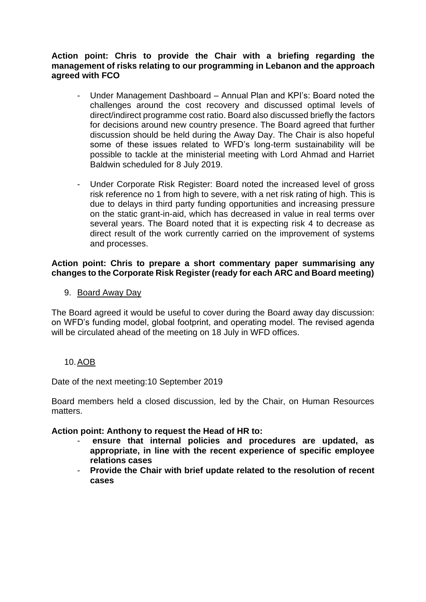**Action point: Chris to provide the Chair with a briefing regarding the management of risks relating to our programming in Lebanon and the approach agreed with FCO**

- Under Management Dashboard Annual Plan and KPI's: Board noted the challenges around the cost recovery and discussed optimal levels of direct/indirect programme cost ratio. Board also discussed briefly the factors for decisions around new country presence. The Board agreed that further discussion should be held during the Away Day. The Chair is also hopeful some of these issues related to WFD's long-term sustainability will be possible to tackle at the ministerial meeting with Lord Ahmad and Harriet Baldwin scheduled for 8 July 2019.
- Under Corporate Risk Register: Board noted the increased level of gross risk reference no 1 from high to severe, with a net risk rating of high. This is due to delays in third party funding opportunities and increasing pressure on the static grant-in-aid, which has decreased in value in real terms over several years. The Board noted that it is expecting risk 4 to decrease as direct result of the work currently carried on the improvement of systems and processes.

#### **Action point: Chris to prepare a short commentary paper summarising any changes to the Corporate Risk Register (ready for each ARC and Board meeting)**

9. Board Away Day

The Board agreed it would be useful to cover during the Board away day discussion: on WFD's funding model, global footprint, and operating model. The revised agenda will be circulated ahead of the meeting on 18 July in WFD offices.

### 10.AOB

Date of the next meeting:10 September 2019

Board members held a closed discussion, led by the Chair, on Human Resources matters.

### **Action point: Anthony to request the Head of HR to:**

- **ensure that internal policies and procedures are updated, as appropriate, in line with the recent experience of specific employee relations cases**
- **Provide the Chair with brief update related to the resolution of recent cases**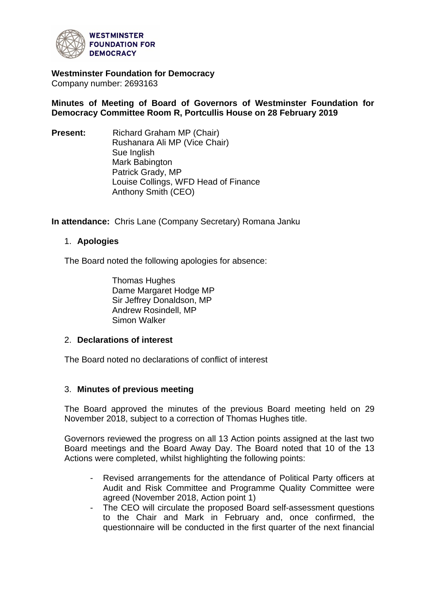

**Westminster Foundation for Democracy** Company number: 2693163

**Minutes of Meeting of Board of Governors of Westminster Foundation for Democracy Committee Room R, Portcullis House on 28 February 2019**

**Present:** Richard Graham MP (Chair) Rushanara Ali MP (Vice Chair) Sue Inglish Mark Babington Patrick Grady, MP Louise Collings, WFD Head of Finance Anthony Smith (CEO)

**In attendance:** Chris Lane (Company Secretary) Romana Janku

### 1. **Apologies**

The Board noted the following apologies for absence:

Thomas Hughes Dame Margaret Hodge MP Sir Jeffrey Donaldson, MP Andrew Rosindell, MP Simon Walker

#### 2. **Declarations of interest**

The Board noted no declarations of conflict of interest

### 3. **Minutes of previous meeting**

The Board approved the minutes of the previous Board meeting held on 29 November 2018, subject to a correction of Thomas Hughes title.

Governors reviewed the progress on all 13 Action points assigned at the last two Board meetings and the Board Away Day. The Board noted that 10 of the 13 Actions were completed, whilst highlighting the following points:

- Revised arrangements for the attendance of Political Party officers at Audit and Risk Committee and Programme Quality Committee were agreed (November 2018, Action point 1)
- The CEO will circulate the proposed Board self-assessment questions to the Chair and Mark in February and, once confirmed, the questionnaire will be conducted in the first quarter of the next financial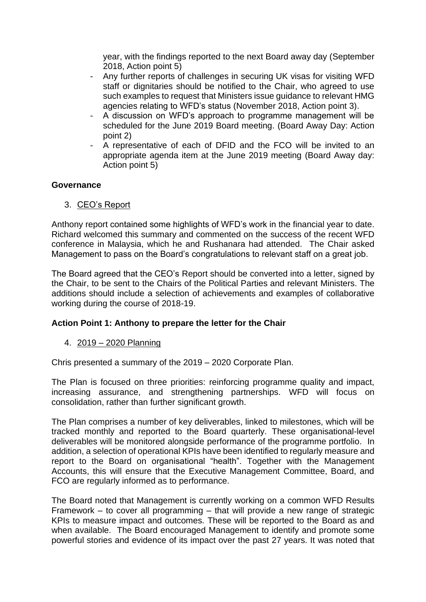year, with the findings reported to the next Board away day (September 2018, Action point 5)

- Any further reports of challenges in securing UK visas for visiting WFD staff or dignitaries should be notified to the Chair, who agreed to use such examples to request that Ministers issue guidance to relevant HMG agencies relating to WFD's status (November 2018, Action point 3).
- A discussion on WFD's approach to programme management will be scheduled for the June 2019 Board meeting. (Board Away Day: Action point 2)
- A representative of each of DFID and the FCO will be invited to an appropriate agenda item at the June 2019 meeting (Board Away day: Action point 5)

# **Governance**

3. CEO's Report

Anthony report contained some highlights of WFD's work in the financial year to date. Richard welcomed this summary and commented on the success of the recent WFD conference in Malaysia, which he and Rushanara had attended. The Chair asked Management to pass on the Board's congratulations to relevant staff on a great job.

The Board agreed that the CEO's Report should be converted into a letter, signed by the Chair, to be sent to the Chairs of the Political Parties and relevant Ministers. The additions should include a selection of achievements and examples of collaborative working during the course of 2018-19.

# **Action Point 1: Anthony to prepare the letter for the Chair**

4. 2019 – 2020 Planning

Chris presented a summary of the 2019 – 2020 Corporate Plan.

The Plan is focused on three priorities: reinforcing programme quality and impact, increasing assurance, and strengthening partnerships. WFD will focus on consolidation, rather than further significant growth.

The Plan comprises a number of key deliverables, linked to milestones, which will be tracked monthly and reported to the Board quarterly. These organisational-level deliverables will be monitored alongside performance of the programme portfolio. In addition, a selection of operational KPIs have been identified to regularly measure and report to the Board on organisational "health". Together with the Management Accounts, this will ensure that the Executive Management Committee, Board, and FCO are regularly informed as to performance.

The Board noted that Management is currently working on a common WFD Results Framework – to cover all programming – that will provide a new range of strategic KPIs to measure impact and outcomes. These will be reported to the Board as and when available. The Board encouraged Management to identify and promote some powerful stories and evidence of its impact over the past 27 years. It was noted that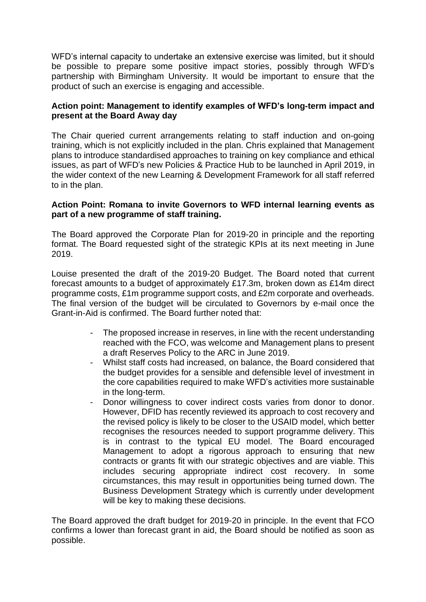WFD's internal capacity to undertake an extensive exercise was limited, but it should be possible to prepare some positive impact stories, possibly through WFD's partnership with Birmingham University. It would be important to ensure that the product of such an exercise is engaging and accessible.

# **Action point: Management to identify examples of WFD's long-term impact and present at the Board Away day**

The Chair queried current arrangements relating to staff induction and on-going training, which is not explicitly included in the plan. Chris explained that Management plans to introduce standardised approaches to training on key compliance and ethical issues, as part of WFD's new Policies & Practice Hub to be launched in April 2019, in the wider context of the new Learning & Development Framework for all staff referred to in the plan.

### **Action Point: Romana to invite Governors to WFD internal learning events as part of a new programme of staff training.**

The Board approved the Corporate Plan for 2019-20 in principle and the reporting format. The Board requested sight of the strategic KPIs at its next meeting in June 2019.

Louise presented the draft of the 2019-20 Budget. The Board noted that current forecast amounts to a budget of approximately £17.3m, broken down as £14m direct programme costs, £1m programme support costs, and £2m corporate and overheads. The final version of the budget will be circulated to Governors by e-mail once the Grant-in-Aid is confirmed. The Board further noted that:

- The proposed increase in reserves, in line with the recent understanding reached with the FCO, was welcome and Management plans to present a draft Reserves Policy to the ARC in June 2019.
- Whilst staff costs had increased, on balance, the Board considered that the budget provides for a sensible and defensible level of investment in the core capabilities required to make WFD's activities more sustainable in the long-term.
- Donor willingness to cover indirect costs varies from donor to donor. However, DFID has recently reviewed its approach to cost recovery and the revised policy is likely to be closer to the USAID model, which better recognises the resources needed to support programme delivery. This is in contrast to the typical EU model. The Board encouraged Management to adopt a rigorous approach to ensuring that new contracts or grants fit with our strategic objectives and are viable. This includes securing appropriate indirect cost recovery. In some circumstances, this may result in opportunities being turned down. The Business Development Strategy which is currently under development will be key to making these decisions.

The Board approved the draft budget for 2019-20 in principle. In the event that FCO confirms a lower than forecast grant in aid, the Board should be notified as soon as possible.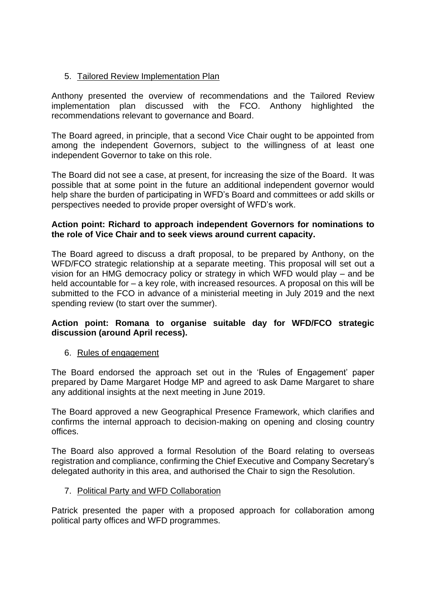# 5. Tailored Review Implementation Plan

Anthony presented the overview of recommendations and the Tailored Review implementation plan discussed with the FCO. Anthony highlighted the recommendations relevant to governance and Board.

The Board agreed, in principle, that a second Vice Chair ought to be appointed from among the independent Governors, subject to the willingness of at least one independent Governor to take on this role.

The Board did not see a case, at present, for increasing the size of the Board. It was possible that at some point in the future an additional independent governor would help share the burden of participating in WFD's Board and committees or add skills or perspectives needed to provide proper oversight of WFD's work.

### **Action point: Richard to approach independent Governors for nominations to the role of Vice Chair and to seek views around current capacity.**

The Board agreed to discuss a draft proposal, to be prepared by Anthony, on the WFD/FCO strategic relationship at a separate meeting. This proposal will set out a vision for an HMG democracy policy or strategy in which WFD would play – and be held accountable for – a key role, with increased resources. A proposal on this will be submitted to the FCO in advance of a ministerial meeting in July 2019 and the next spending review (to start over the summer).

# **Action point: Romana to organise suitable day for WFD/FCO strategic discussion (around April recess).**

### 6. Rules of engagement

The Board endorsed the approach set out in the 'Rules of Engagement' paper prepared by Dame Margaret Hodge MP and agreed to ask Dame Margaret to share any additional insights at the next meeting in June 2019.

The Board approved a new Geographical Presence Framework, which clarifies and confirms the internal approach to decision-making on opening and closing country offices.

The Board also approved a formal Resolution of the Board relating to overseas registration and compliance, confirming the Chief Executive and Company Secretary's delegated authority in this area, and authorised the Chair to sign the Resolution.

### 7. Political Party and WFD Collaboration

Patrick presented the paper with a proposed approach for collaboration among political party offices and WFD programmes.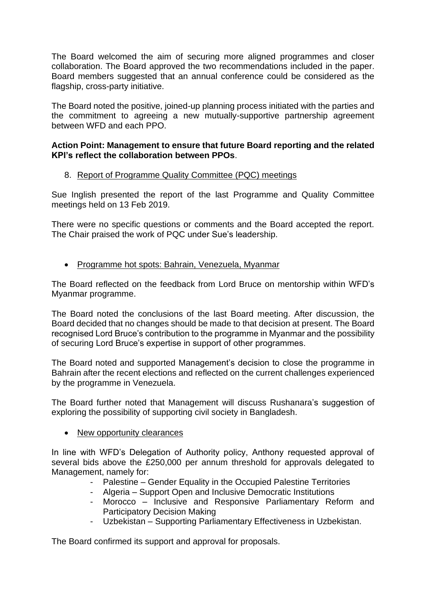The Board welcomed the aim of securing more aligned programmes and closer collaboration. The Board approved the two recommendations included in the paper. Board members suggested that an annual conference could be considered as the flagship, cross-party initiative.

The Board noted the positive, joined-up planning process initiated with the parties and the commitment to agreeing a new mutually-supportive partnership agreement between WFD and each PPO.

### **Action Point: Management to ensure that future Board reporting and the related KPI's reflect the collaboration between PPOs**.

8. Report of Programme Quality Committee (PQC) meetings

Sue Inglish presented the report of the last Programme and Quality Committee meetings held on 13 Feb 2019.

There were no specific questions or comments and the Board accepted the report. The Chair praised the work of PQC under Sue's leadership.

• Programme hot spots: Bahrain, Venezuela, Myanmar

The Board reflected on the feedback from Lord Bruce on mentorship within WFD's Myanmar programme.

The Board noted the conclusions of the last Board meeting. After discussion, the Board decided that no changes should be made to that decision at present. The Board recognised Lord Bruce's contribution to the programme in Myanmar and the possibility of securing Lord Bruce's expertise in support of other programmes.

The Board noted and supported Management's decision to close the programme in Bahrain after the recent elections and reflected on the current challenges experienced by the programme in Venezuela.

The Board further noted that Management will discuss Rushanara's suggestion of exploring the possibility of supporting civil society in Bangladesh.

### • New opportunity clearances

In line with WFD's Delegation of Authority policy, Anthony requested approval of several bids above the £250,000 per annum threshold for approvals delegated to Management, namely for:

- Palestine Gender Equality in the Occupied Palestine Territories
- Algeria Support Open and Inclusive Democratic Institutions
- Morocco Inclusive and Responsive Parliamentary Reform and Participatory Decision Making
- Uzbekistan Supporting Parliamentary Effectiveness in Uzbekistan.

The Board confirmed its support and approval for proposals.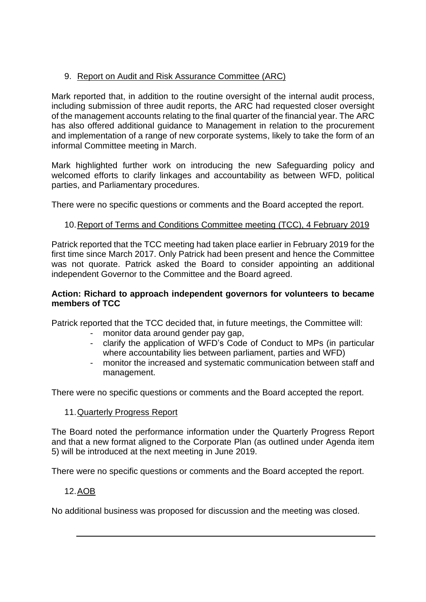# 9. Report on Audit and Risk Assurance Committee (ARC)

Mark reported that, in addition to the routine oversight of the internal audit process, including submission of three audit reports, the ARC had requested closer oversight of the management accounts relating to the final quarter of the financial year. The ARC has also offered additional guidance to Management in relation to the procurement and implementation of a range of new corporate systems, likely to take the form of an informal Committee meeting in March.

Mark highlighted further work on introducing the new Safeguarding policy and welcomed efforts to clarify linkages and accountability as between WFD, political parties, and Parliamentary procedures.

There were no specific questions or comments and the Board accepted the report.

# 10.Report of Terms and Conditions Committee meeting (TCC), 4 February 2019

Patrick reported that the TCC meeting had taken place earlier in February 2019 for the first time since March 2017. Only Patrick had been present and hence the Committee was not quorate. Patrick asked the Board to consider appointing an additional independent Governor to the Committee and the Board agreed.

### **Action: Richard to approach independent governors for volunteers to became members of TCC**

Patrick reported that the TCC decided that, in future meetings, the Committee will:

- monitor data around gender pay gap,
- clarify the application of WFD's Code of Conduct to MPs (in particular where accountability lies between parliament, parties and WFD)
- monitor the increased and systematic communication between staff and management.

There were no specific questions or comments and the Board accepted the report.

### 11.Quarterly Progress Report

The Board noted the performance information under the Quarterly Progress Report and that a new format aligned to the Corporate Plan (as outlined under Agenda item 5) will be introduced at the next meeting in June 2019.

There were no specific questions or comments and the Board accepted the report.

### 12.AOB

No additional business was proposed for discussion and the meeting was closed.